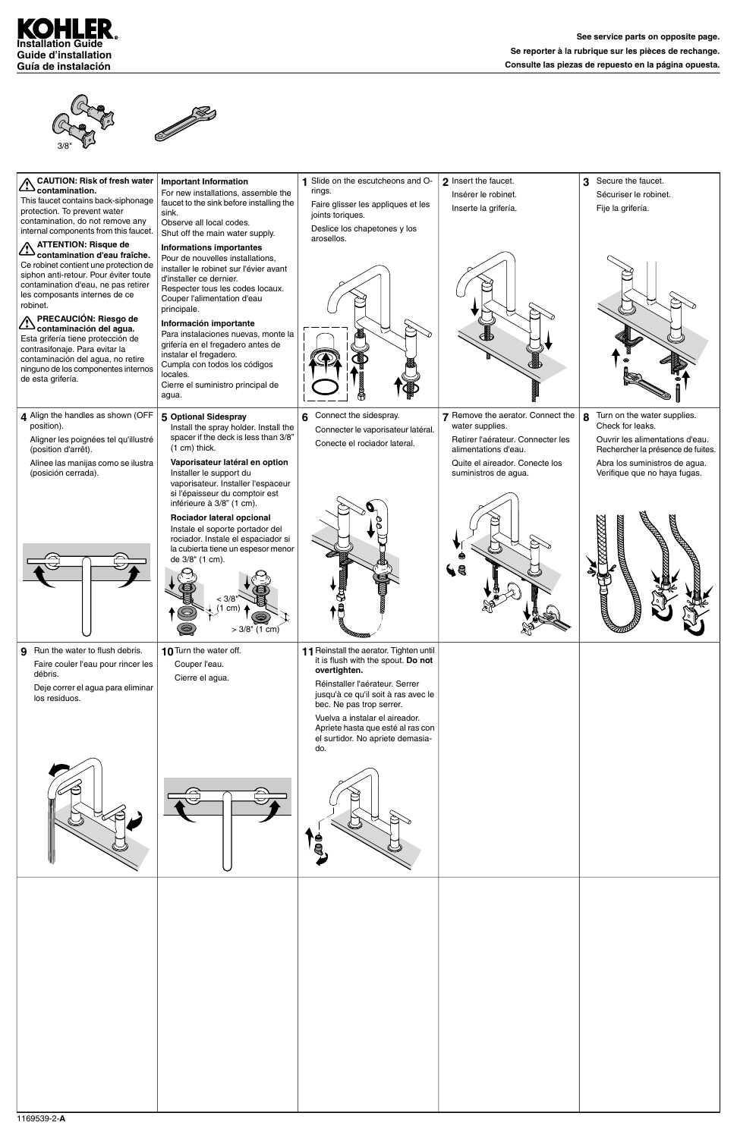

3/8"



| <b>CAUTION: Risk of fresh water</b><br>CAU I IUN: nish<br>This faucet contains back-siphonage<br>protection. To prevent water<br>contamination, do not remove any<br>internal components from this faucet.                                                                                                                                                                                                                                                                                                  | <b>Important Information</b><br>For new installations, assemble the<br>faucet to the sink before installing the<br>sink.<br>Observe all local codes.<br>Shut off the main water supply.                                                                                                                                                                                                                                                              | Slide on the escutcheons and O-<br>rings.<br>Faire glisser les appliques et les<br>joints toriques.<br>Deslice los chapetones y los<br>arosellos.                                                                                                                                                                    | 2 Insert the faucet.<br>Insérer le robinet.<br>Inserte la grifería.                                               | Secure the faucet.<br>3<br>Sécuriser le robinet.<br>Fije la grifería.                                                        |
|-------------------------------------------------------------------------------------------------------------------------------------------------------------------------------------------------------------------------------------------------------------------------------------------------------------------------------------------------------------------------------------------------------------------------------------------------------------------------------------------------------------|------------------------------------------------------------------------------------------------------------------------------------------------------------------------------------------------------------------------------------------------------------------------------------------------------------------------------------------------------------------------------------------------------------------------------------------------------|----------------------------------------------------------------------------------------------------------------------------------------------------------------------------------------------------------------------------------------------------------------------------------------------------------------------|-------------------------------------------------------------------------------------------------------------------|------------------------------------------------------------------------------------------------------------------------------|
| <b>ATTENTION: Risque de</b><br>$\Delta$<br>contamination d'eau fraîche.<br>Ce robinet contient une protection de<br>siphon anti-retour. Pour éviter toute<br>contamination d'eau, ne pas retirer<br>les composants internes de ce<br>robinet.<br><b>PRECAUCIÓN: Riesgo de</b><br>Contaminación del agua.<br>Contaminación del agua.<br>Esta grifería tiene protección de<br>contrasifonaje. Para evitar la<br>contaminación del agua, no retire<br>ninguno de los componentes internos<br>de esta grifería. | <b>Informations importantes</b><br>Pour de nouvelles installations,<br>installer le robinet sur l'évier avant<br>d'installer ce dernier.<br>Respecter tous les codes locaux.<br>Couper l'alimentation d'eau<br>principale.<br>Información importante<br>Para instalaciones nuevas, monte la<br>grifería en el fregadero antes de<br>instalar el fregadero.<br>Cumpla con todos los códigos<br>locales.<br>Cierre el suministro principal de<br>agua. |                                                                                                                                                                                                                                                                                                                      |                                                                                                                   |                                                                                                                              |
| 4 Align the handles as shown (OFF<br>position).<br>Aligner les poignées tel qu'illustré<br>(position d'arrêt).                                                                                                                                                                                                                                                                                                                                                                                              | 5 Optional Sidespray<br>Install the spray holder. Install the<br>spacer if the deck is less than 3/8"<br>$(1 cm)$ thick.                                                                                                                                                                                                                                                                                                                             | Connect the sidespray.<br>6<br>Connecter le vaporisateur latéral.<br>Conecte el rociador lateral.                                                                                                                                                                                                                    | 7 Remove the aerator. Connect the<br>water supplies.<br>Retirer l'aérateur. Connecter les<br>alimentations d'eau. | Turn on the water supplies.<br>8<br>Check for leaks.<br>Ouvrir les alimentations d'eau.<br>Rechercher la présence de fuites. |
| Alinee las manijas como se ilustra<br>(posición cerrada).                                                                                                                                                                                                                                                                                                                                                                                                                                                   | Vaporisateur latéral en option<br>Installer le support du<br>vaporisateur. Installer l'espaceur<br>si l'épaisseur du comptoir est<br>inférieure à 3/8" (1 cm).<br>Rociador lateral opcional<br>Instale el soporte portador del<br>rociador. Instale el espaciador si<br>la cubierta tiene un espesor menor<br>de 3/8" (1 cm).<br>$\Omega$<br>< 3/8<br>(1 cm)<br>$>3/8$ " (1 cm)                                                                      | <b>RECOGNITION</b>                                                                                                                                                                                                                                                                                                   | Quite el aireador. Conecte los<br>suministros de agua.                                                            | Abra los suministros de agua.<br>Verifique que no haya fugas.                                                                |
| 9 Run the water to flush debris.<br>Faire couler l'eau pour rincer les<br>débris.<br>Deje correr el agua para eliminar<br>los residuos.                                                                                                                                                                                                                                                                                                                                                                     | 10 Turn the water off.<br>Couper l'eau.<br>Cierre el agua.                                                                                                                                                                                                                                                                                                                                                                                           | 11 Reinstall the aerator. Tighten until<br>it is flush with the spout. Do not<br>overtighten.<br>Réinstaller l'aérateur. Serrer<br>jusqu'à ce qu'il soit à ras avec le<br>bec. Ne pas trop serrer.<br>Vuelva a instalar el aireador.<br>Apriete hasta que esté al ras con<br>el surtidor. No apriete demasia-<br>do. |                                                                                                                   |                                                                                                                              |
|                                                                                                                                                                                                                                                                                                                                                                                                                                                                                                             |                                                                                                                                                                                                                                                                                                                                                                                                                                                      |                                                                                                                                                                                                                                                                                                                      |                                                                                                                   |                                                                                                                              |

| $\mathbb{R}$ | $\sim$ | $A \nless$<br>rg<br>I |  |
|--------------|--------|-----------------------|--|
|              |        |                       |  |
|              |        |                       |  |
|              |        |                       |  |
|              |        |                       |  |

ナ